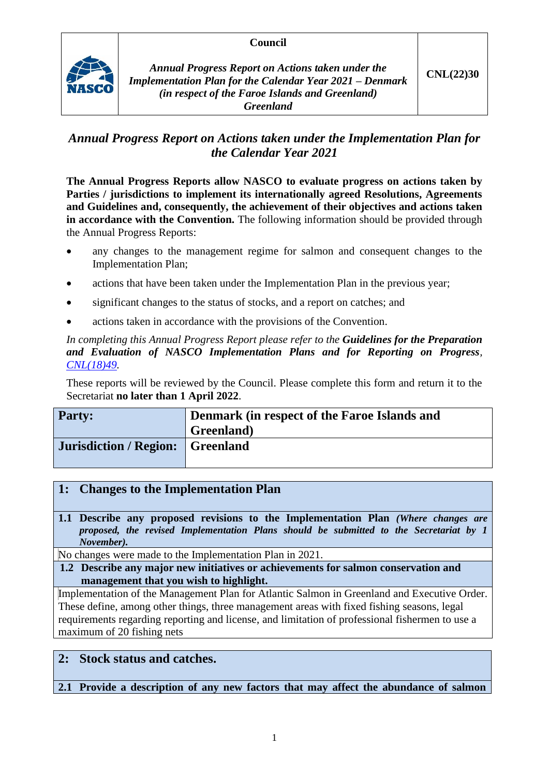### **Council**



*Annual Progress Report on Actions taken under the Implementation Plan for the Calendar Year 2021 – Denmark (in respect of the Faroe Islands and Greenland) Greenland*

# *Annual Progress Report on Actions taken under the Implementation Plan for the Calendar Year 2021*

**The Annual Progress Reports allow NASCO to evaluate progress on actions taken by Parties / jurisdictions to implement its internationally agreed Resolutions, Agreements and Guidelines and, consequently, the achievement of their objectives and actions taken in accordance with the Convention.** The following information should be provided through the Annual Progress Reports:

- any changes to the management regime for salmon and consequent changes to the Implementation Plan;
- actions that have been taken under the Implementation Plan in the previous year;
- significant changes to the status of stocks, and a report on catches; and
- actions taken in accordance with the provisions of the Convention.

### *In completing this Annual Progress Report please refer to the Guidelines for the Preparation and Evaluation of NASCO Implementation Plans and for Reporting on Progress, [CNL\(18\)49.](https://nasco.int/wp-content/uploads/2020/02/CNL1849_Guidelines-for-the-Preparation-and-Evaluation-of-NASCO-Implementation-Plans-and-for-Reporting-on-Progress.pdf)*

These reports will be reviewed by the Council. Please complete this form and return it to the Secretariat **no later than 1 April 2022**.

| <b>Party:</b>                           | Denmark (in respect of the Faroe Islands and |  |
|-----------------------------------------|----------------------------------------------|--|
|                                         | Greenland)                                   |  |
| <b>Jurisdiction / Region: Greenland</b> |                                              |  |

# **1: Changes to the Implementation Plan**

**1.1 Describe any proposed revisions to the Implementation Plan** *(Where changes are proposed, the revised Implementation Plans should be submitted to the Secretariat by 1 November).*

No changes were made to the Implementation Plan in 2021.

**1.2 Describe any major new initiatives or achievements for salmon conservation and management that you wish to highlight.**

Implementation of the Management Plan for Atlantic Salmon in Greenland and Executive Order. These define, among other things, three management areas with fixed fishing seasons, legal requirements regarding reporting and license, and limitation of professional fishermen to use a maximum of 20 fishing nets

# **2: Stock status and catches.**

**2.1 Provide a description of any new factors that may affect the abundance of salmon**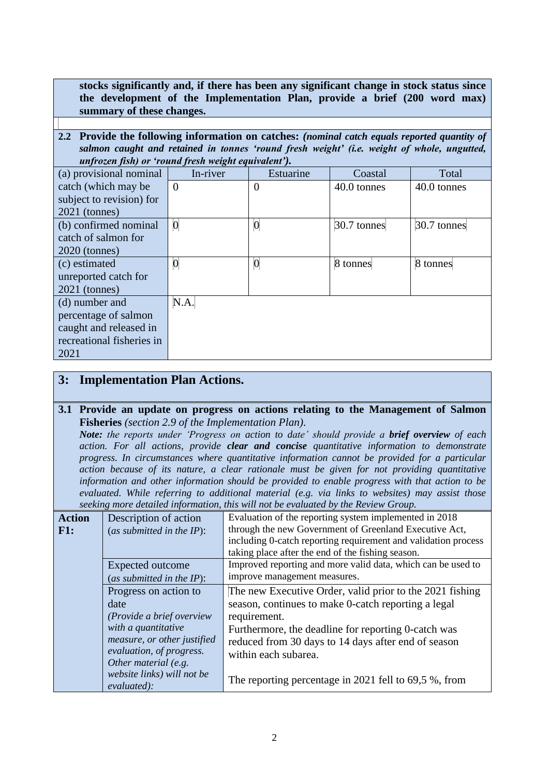**stocks significantly and, if there has been any significant change in stock status since the development of the Implementation Plan, provide a brief (200 word max) summary of these changes.**

**2.2 Provide the following information on catches:** *(nominal catch equals reported quantity of salmon caught and retained in tonnes 'round fresh weight' (i.e. weight of whole, ungutted, unfrozen fish) or 'round fresh weight equivalent').*

| (a) provisional nominal   | In-river         | Estuarine        | Coastal       | Total         |
|---------------------------|------------------|------------------|---------------|---------------|
| catch (which may be       | $\Omega$         | 0                | 40.0 tonnes   | 40.0 tonnes   |
| subject to revision) for  |                  |                  |               |               |
| $2021$ (tonnes)           |                  |                  |               |               |
| (b) confirmed nominal     | $\boldsymbol{0}$ | $\boldsymbol{0}$ | $30.7$ tonnes | $30.7$ tonnes |
| catch of salmon for       |                  |                  |               |               |
| $2020$ (tonnes)           |                  |                  |               |               |
| (c) estimated             |                  | $\overline{0}$   | 8 tonnes      | 8 tonnes      |
| unreported catch for      |                  |                  |               |               |
| $2021$ (tonnes)           |                  |                  |               |               |
| (d) number and            | N.A.             |                  |               |               |
| percentage of salmon      |                  |                  |               |               |
| caught and released in    |                  |                  |               |               |
| recreational fisheries in |                  |                  |               |               |
| 2021                      |                  |                  |               |               |

## **3: Implementation Plan Actions.**

#### **3.1 Provide an update on progress on actions relating to the Management of Salmon Fisheries** *(section 2.9 of the Implementation Plan).*

*Note: the reports under 'Progress on action to date' should provide a brief overview of each action. For all actions, provide clear and concise quantitative information to demonstrate progress. In circumstances where quantitative information cannot be provided for a particular action because of its nature, a clear rationale must be given for not providing quantitative information and other information should be provided to enable progress with that action to be evaluated. While referring to additional material (e.g. via links to websites) may assist those seeking more detailed information, this will not be evaluated by the Review Group.*

|               |                              | scening more acumen information, mis whi not be evaluated by the Kevich Group. |
|---------------|------------------------------|--------------------------------------------------------------------------------|
| <b>Action</b> | Description of action        | Evaluation of the reporting system implemented in 2018                         |
| F1:           | (as submitted in the $IP$ ): | through the new Government of Greenland Executive Act,                         |
|               |                              | including 0-catch reporting requirement and validation process                 |
|               |                              | taking place after the end of the fishing season.                              |
|               | Expected outcome             | Improved reporting and more valid data, which can be used to                   |
|               | (as submitted in the $IP$ ): | improve management measures.                                                   |
|               | Progress on action to        | The new Executive Order, valid prior to the 2021 fishing                       |
|               | date                         | season, continues to make 0-catch reporting a legal                            |
|               | (Provide a brief overview)   | requirement.                                                                   |
|               | with a quantitative          | Furthermore, the deadline for reporting 0-catch was                            |
|               | measure, or other justified  | reduced from 30 days to 14 days after end of season                            |
|               | evaluation, of progress.     | within each subarea.                                                           |
|               | Other material (e.g.         |                                                                                |
|               | website links) will not be   | The reporting percentage in 2021 fell to $69.5$ %, from                        |
|               | evaluated):                  |                                                                                |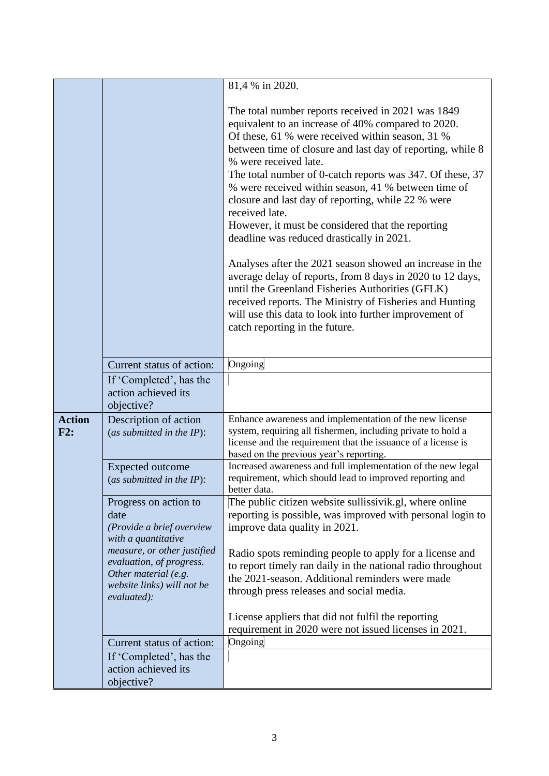|                      |                                                                                                                              | 81,4 % in 2020.                                                                                                                                                                                                                                                                                                                                                                                                                                                                                                                                                                                                                                                                                                                                                                                                                                                                       |
|----------------------|------------------------------------------------------------------------------------------------------------------------------|---------------------------------------------------------------------------------------------------------------------------------------------------------------------------------------------------------------------------------------------------------------------------------------------------------------------------------------------------------------------------------------------------------------------------------------------------------------------------------------------------------------------------------------------------------------------------------------------------------------------------------------------------------------------------------------------------------------------------------------------------------------------------------------------------------------------------------------------------------------------------------------|
|                      |                                                                                                                              |                                                                                                                                                                                                                                                                                                                                                                                                                                                                                                                                                                                                                                                                                                                                                                                                                                                                                       |
|                      |                                                                                                                              | The total number reports received in 2021 was 1849<br>equivalent to an increase of 40% compared to 2020.<br>Of these, 61 % were received within season, 31 %<br>between time of closure and last day of reporting, while 8<br>% were received late.<br>The total number of 0-catch reports was 347. Of these, 37<br>% were received within season, 41 % between time of<br>closure and last day of reporting, while 22 % were<br>received late.<br>However, it must be considered that the reporting<br>deadline was reduced drastically in 2021.<br>Analyses after the 2021 season showed an increase in the<br>average delay of reports, from 8 days in 2020 to 12 days,<br>until the Greenland Fisheries Authorities (GFLK)<br>received reports. The Ministry of Fisheries and Hunting<br>will use this data to look into further improvement of<br>catch reporting in the future. |
|                      |                                                                                                                              |                                                                                                                                                                                                                                                                                                                                                                                                                                                                                                                                                                                                                                                                                                                                                                                                                                                                                       |
|                      | Current status of action:                                                                                                    | Ongoing                                                                                                                                                                                                                                                                                                                                                                                                                                                                                                                                                                                                                                                                                                                                                                                                                                                                               |
|                      | If 'Completed', has the<br>action achieved its                                                                               |                                                                                                                                                                                                                                                                                                                                                                                                                                                                                                                                                                                                                                                                                                                                                                                                                                                                                       |
|                      | objective?                                                                                                                   |                                                                                                                                                                                                                                                                                                                                                                                                                                                                                                                                                                                                                                                                                                                                                                                                                                                                                       |
| <b>Action</b><br>F2: | Description of action<br>(as submitted in the $IP$ ):                                                                        | Enhance awareness and implementation of the new license<br>system, requiring all fishermen, including private to hold a<br>license and the requirement that the issuance of a license is<br>based on the previous year's reporting.                                                                                                                                                                                                                                                                                                                                                                                                                                                                                                                                                                                                                                                   |
|                      | Expected outcome<br>(as submitted in the $IP$ ):                                                                             | Increased awareness and full implementation of the new legal<br>requirement, which should lead to improved reporting and<br>better data.                                                                                                                                                                                                                                                                                                                                                                                                                                                                                                                                                                                                                                                                                                                                              |
|                      | Progress on action to<br>date<br>(Provide a brief overview<br>with a quantitative                                            | The public citizen website sullissivik.gl, where online<br>reporting is possible, was improved with personal login to<br>improve data quality in 2021.                                                                                                                                                                                                                                                                                                                                                                                                                                                                                                                                                                                                                                                                                                                                |
|                      | measure, or other justified<br>evaluation, of progress.<br>Other material (e.g.<br>website links) will not be<br>evaluated): | Radio spots reminding people to apply for a license and<br>to report timely ran daily in the national radio throughout<br>the 2021-season. Additional reminders were made<br>through press releases and social media.                                                                                                                                                                                                                                                                                                                                                                                                                                                                                                                                                                                                                                                                 |
|                      |                                                                                                                              | License appliers that did not fulfil the reporting<br>requirement in 2020 were not issued licenses in 2021.                                                                                                                                                                                                                                                                                                                                                                                                                                                                                                                                                                                                                                                                                                                                                                           |
|                      | Current status of action:                                                                                                    | Ongoing                                                                                                                                                                                                                                                                                                                                                                                                                                                                                                                                                                                                                                                                                                                                                                                                                                                                               |
|                      | If 'Completed', has the                                                                                                      |                                                                                                                                                                                                                                                                                                                                                                                                                                                                                                                                                                                                                                                                                                                                                                                                                                                                                       |
|                      | action achieved its<br>objective?                                                                                            |                                                                                                                                                                                                                                                                                                                                                                                                                                                                                                                                                                                                                                                                                                                                                                                                                                                                                       |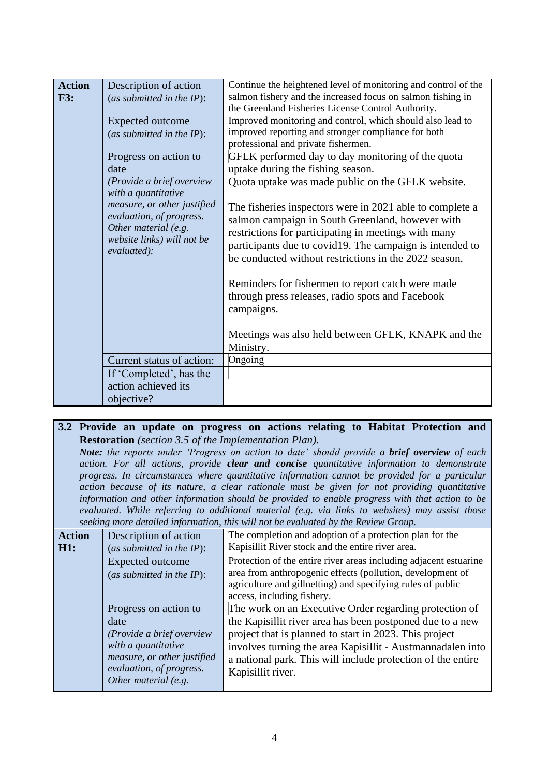| <b>Action</b> | Description of action        | Continue the heightened level of monitoring and control of the |
|---------------|------------------------------|----------------------------------------------------------------|
| <b>F3:</b>    | (as submitted in the $IP$ ): | salmon fishery and the increased focus on salmon fishing in    |
|               |                              | the Greenland Fisheries License Control Authority.             |
|               | <b>Expected outcome</b>      | Improved monitoring and control, which should also lead to     |
|               | (as submitted in the $IP$ ): | improved reporting and stronger compliance for both            |
|               |                              | professional and private fishermen.                            |
|               | Progress on action to        | GFLK performed day to day monitoring of the quota              |
|               | date                         | uptake during the fishing season.                              |
|               | (Provide a brief overview    | Quota uptake was made public on the GFLK website.              |
|               | with a quantitative          |                                                                |
|               | measure, or other justified  | The fisheries inspectors were in 2021 able to complete a       |
|               | evaluation, of progress.     | salmon campaign in South Greenland, however with               |
|               | Other material (e.g.         | restrictions for participating in meetings with many           |
|               | website links) will not be   | participants due to covid19. The campaign is intended to       |
|               | evaluated):                  | be conducted without restrictions in the 2022 season.          |
|               |                              |                                                                |
|               |                              | Reminders for fishermen to report catch were made              |
|               |                              | through press releases, radio spots and Facebook               |
|               |                              |                                                                |
|               |                              | campaigns.                                                     |
|               |                              |                                                                |
|               |                              | Meetings was also held between GFLK, KNAPK and the             |
|               |                              | Ministry.                                                      |
|               | Current status of action:    | Ongoing                                                        |
|               | If 'Completed', has the      |                                                                |
|               | action achieved its          |                                                                |
|               | objective?                   |                                                                |

#### **3.2 Provide an update on progress on actions relating to Habitat Protection and Restoration** *(section 3.5 of the Implementation Plan).*

*Note: the reports under 'Progress on action to date' should provide a brief overview of each action. For all actions, provide clear and concise quantitative information to demonstrate progress. In circumstances where quantitative information cannot be provided for a particular action because of its nature, a clear rationale must be given for not providing quantitative information and other information should be provided to enable progress with that action to be evaluated. While referring to additional material (e.g. via links to websites) may assist those seeking more detailed information, this will not be evaluated by the Review Group.*

| <b>Action</b><br>H1: | Description of action<br>(as submitted in the $IP$ ):                                                                                                                | The completion and adoption of a protection plan for the<br>Kapisillit River stock and the entire river area.                                                                                                                                                                                                                   |
|----------------------|----------------------------------------------------------------------------------------------------------------------------------------------------------------------|---------------------------------------------------------------------------------------------------------------------------------------------------------------------------------------------------------------------------------------------------------------------------------------------------------------------------------|
|                      | Expected outcome<br>(as submitted in the $IP$ ):                                                                                                                     | Protection of the entire river areas including adjacent estuarine<br>area from anthropogenic effects (pollution, development of<br>agriculture and gillnetting) and specifying rules of public<br>access, including fishery.                                                                                                    |
|                      | Progress on action to<br>date<br>(Provide a brief overview<br>with a quantitative<br>measure, or other justified<br>evaluation, of progress.<br>Other material (e.g. | The work on an Executive Order regarding protection of<br>the Kapisillit river area has been postponed due to a new<br>project that is planned to start in 2023. This project<br>involves turning the area Kapisillit - Austmannadalen into<br>a national park. This will include protection of the entire<br>Kapisillit river. |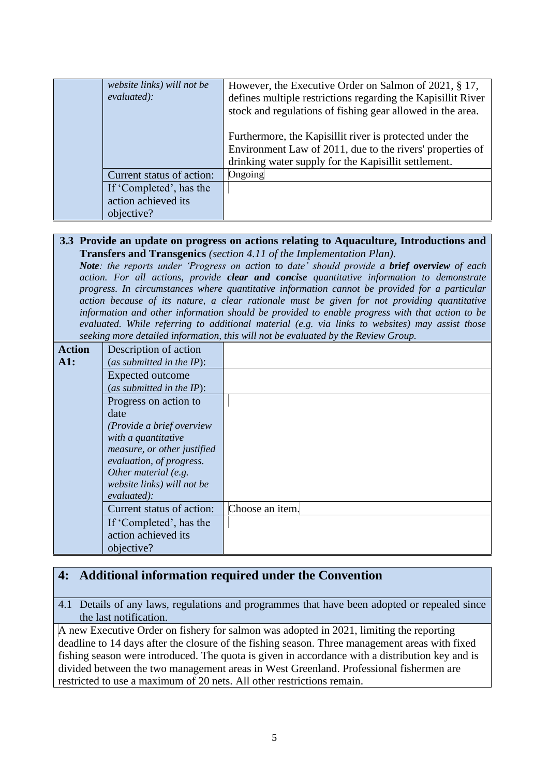| website links) will not be<br>evaluated): | However, the Executive Order on Salmon of 2021, § 17,<br>defines multiple restrictions regarding the Kapisillit River<br>stock and regulations of fishing gear allowed in the area. |
|-------------------------------------------|-------------------------------------------------------------------------------------------------------------------------------------------------------------------------------------|
|                                           | Furthermore, the Kapisillit river is protected under the<br>Environment Law of 2011, due to the rivers' properties of<br>drinking water supply for the Kapisillit settlement.       |
| Current status of action:                 | Ongoing                                                                                                                                                                             |
| If 'Completed', has the                   |                                                                                                                                                                                     |
| action achieved its                       |                                                                                                                                                                                     |
| objective?                                |                                                                                                                                                                                     |

#### **3.3 Provide an update on progress on actions relating to Aquaculture, Introductions and Transfers and Transgenics** *(section 4.11 of the Implementation Plan).*

*Note: the reports under 'Progress on action to date' should provide a brief overview of each action. For all actions, provide clear and concise quantitative information to demonstrate progress. In circumstances where quantitative information cannot be provided for a particular action because of its nature, a clear rationale must be given for not providing quantitative information and other information should be provided to enable progress with that action to be evaluated. While referring to additional material (e.g. via links to websites) may assist those seeking more detailed information, this will not be evaluated by the Review Group.*

| <b>Action</b> | Description of action        |                 |
|---------------|------------------------------|-----------------|
| A1:           | (as submitted in the $IP$ ): |                 |
|               | Expected outcome             |                 |
|               | (as submitted in the IP):    |                 |
|               | Progress on action to        |                 |
|               | date                         |                 |
|               | (Provide a brief overview    |                 |
|               | with a quantitative          |                 |
|               | measure, or other justified  |                 |
|               | evaluation, of progress.     |                 |
|               | Other material (e.g.         |                 |
|               | website links) will not be   |                 |
|               | evaluated):                  |                 |
|               | Current status of action:    | Choose an item. |
|               | If 'Completed', has the      |                 |
|               | action achieved its          |                 |
|               | objective?                   |                 |

## **4: Additional information required under the Convention**

4.1 Details of any laws, regulations and programmes that have been adopted or repealed since the last notification.

A new Executive Order on fishery for salmon was adopted in 2021, limiting the reporting deadline to 14 days after the closure of the fishing season. Three management areas with fixed fishing season were introduced. The quota is given in accordance with a distribution key and is divided between the two management areas in West Greenland. Professional fishermen are restricted to use a maximum of 20 nets. All other restrictions remain.